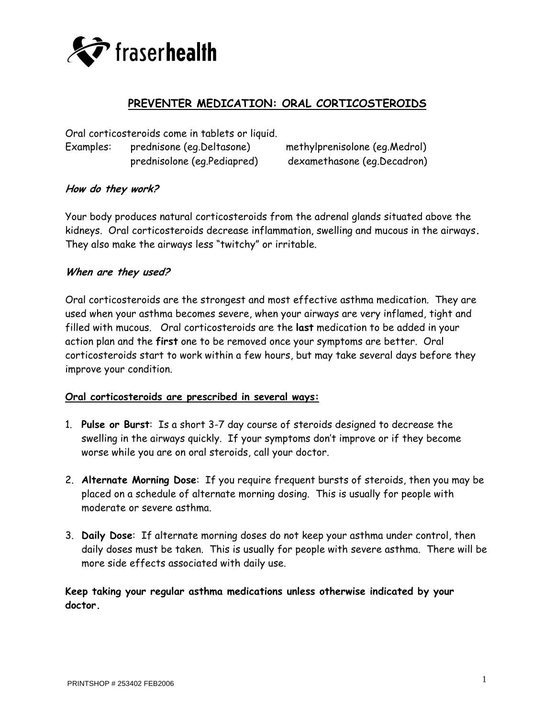

# **PREVENTER MEDICATION: ORAL CORTICOSTEROIDS**

Oral corticosteroids come in tablets or liquid. Examples: prednisone (eg.Deltasone) methylprenisolone (eg.Medrol) prednisolone (eg.Pediapred) dexamethasone (eg.Decadron)

### **How do they work?**

Your body produces natural corticosteroids from the adrenal glands situated above the kidneys. Oral corticosteroids decrease inflammation, swelling and mucous in the airways**.** They also make the airways less "twitchy" or irritable.

#### **When are they used?**

Oral corticosteroids are the strongest and most effective asthma medication. They are used when your asthma becomes severe, when your airways are very inflamed, tight and filled with mucous. Oral corticosteroids are the **last** medication to be added in your action plan and the **first** one to be removed once your symptoms are better. Oral corticosteroids start to work within a few hours, but may take several days before they improve your condition.

#### **Oral corticosteroids are prescribed in several ways:**

- 1. **Pulse or Burst**: Is a short 3-7 day course of steroids designed to decrease the swelling in the airways quickly. If your symptoms don't improve or if they become worse while you are on oral steroids, call your doctor.
- 2. **Alternate Morning Dose**: If you require frequent bursts of steroids, then you may be placed on a schedule of alternate morning dosing. This is usually for people with moderate or severe asthma.
- 3. **Daily Dose**: If alternate morning doses do not keep your asthma under control, then daily doses must be taken. This is usually for people with severe asthma. There will be more side effects associated with daily use.

**Keep taking your regular asthma medications unless otherwise indicated by your doctor.**